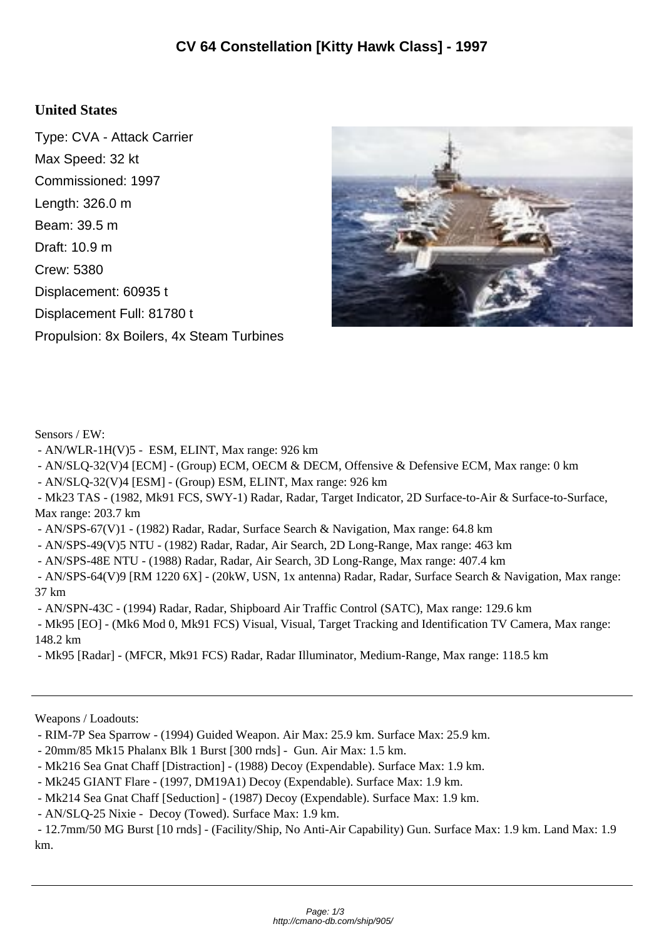## **United States**

Type: CVA - Attack Carrier Max Speed: 32 kt Commissioned: 1997 Length: 326.0 m Beam: 39.5 m Draft: 10.9 m Crew: 5380 Displacement: 60935 t Displacement Full: 81780 t Propulsion: 8x Boilers, 4x Steam Turbines



Sensors / EW:

- AN/WLR-1H(V)5 - ESM, ELINT, Max range: 926 km

- AN/SLQ-32(V)4 [ECM] - (Group) ECM, OECM & DECM, Offensive & Defensive ECM, Max range: 0 km

- AN/SLQ-32(V)4 [ESM] - (Group) ESM, ELINT, Max range: 926 km

 - Mk23 TAS - (1982, Mk91 FCS, SWY-1) Radar, Radar, Target Indicator, 2D Surface-to-Air & Surface-to-Surface, Max range: 203.7 km

- AN/SPS-67(V)1 - (1982) Radar, Radar, Surface Search & Navigation, Max range: 64.8 km

- AN/SPS-49(V)5 NTU - (1982) Radar, Radar, Air Search, 2D Long-Range, Max range: 463 km

- AN/SPS-48E NTU - (1988) Radar, Radar, Air Search, 3D Long-Range, Max range: 407.4 km

 - AN/SPS-64(V)9 [RM 1220 6X] - (20kW, USN, 1x antenna) Radar, Radar, Surface Search & Navigation, Max range: 37 km

- AN/SPN-43C - (1994) Radar, Radar, Shipboard Air Traffic Control (SATC), Max range: 129.6 km

 - Mk95 [EO] - (Mk6 Mod 0, Mk91 FCS) Visual, Visual, Target Tracking and Identification TV Camera, Max range: 148.2 km

- Mk95 [Radar] - (MFCR, Mk91 FCS) Radar, Radar Illuminator, Medium-Range, Max range: 118.5 km

Weapons / Loadouts:

- 20mm/85 Mk15 Phalanx Blk 1 Burst [300 rnds] Gun. Air Max: 1.5 km.
- Mk216 Sea Gnat Chaff [Distraction] (1988) Decoy (Expendable). Surface Max: 1.9 km.
- Mk245 GIANT Flare (1997, DM19A1) Decoy (Expendable). Surface Max: 1.9 km.
- Mk214 Sea Gnat Chaff [Seduction] (1987) Decoy (Expendable). Surface Max: 1.9 km.

- AN/SLQ-25 Nixie - Decoy (Towed). Surface Max: 1.9 km.

 - 12.7mm/50 MG Burst [10 rnds] - (Facility/Ship, No Anti-Air Capability) Gun. Surface Max: 1.9 km. Land Max: 1.9 km.

 <sup>-</sup> RIM-7P Sea Sparrow - (1994) Guided Weapon. Air Max: 25.9 km. Surface Max: 25.9 km.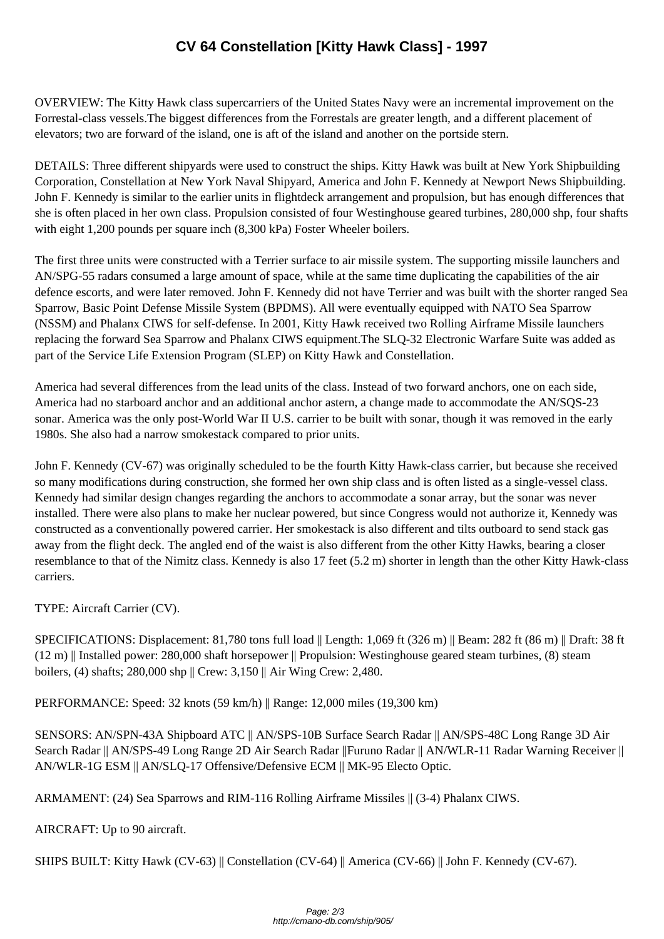OVERVIEW: The Kitty Ha[wk class supercarriers of the United States Navy were an increm](http://cmano-db.com/ship/905/)ental improvement on the Forrestal-class vessels.The biggest differences from the Forrestals are greater length, and a different placement of elevators; two are forward of the island, one is aft of the island and another on the portside stern.

DETAILS: Three different shipyards were used to construct the ships. Kitty Hawk was built at New York Shipbuilding Corporation, Constellation at New York Naval Shipyard, America and John F. Kennedy at Newport News Shipbuilding. John F. Kennedy is similar to the earlier units in flightdeck arrangement and propulsion, but has enough differences that she is often placed in her own class. Propulsion consisted of four Westinghouse geared turbines, 280,000 shp, four shafts with eight 1,200 pounds per square inch (8,300 kPa) Foster Wheeler boilers.

The first three units were constructed with a Terrier surface to air missile system. The supporting missile launchers and AN/SPG-55 radars consumed a large amount of space, while at the same time duplicating the capabilities of the air defence escorts, and were later removed. John F. Kennedy did not have Terrier and was built with the shorter ranged Sea Sparrow, Basic Point Defense Missile System (BPDMS). All were eventually equipped with NATO Sea Sparrow (NSSM) and Phalanx CIWS for self-defense. In 2001, Kitty Hawk received two Rolling Airframe Missile launchers replacing the forward Sea Sparrow and Phalanx CIWS equipment.The SLQ-32 Electronic Warfare Suite was added as part of the Service Life Extension Program (SLEP) on Kitty Hawk and Constellation.

America had several differences from the lead units of the class. Instead of two forward anchors, one on each side, America had no starboard anchor and an additional anchor astern, a change made to accommodate the AN/SQS-23 sonar. America was the only post-World War II U.S. carrier to be built with sonar, though it was removed in the early 1980s. She also had a narrow smokestack compared to prior units.

John F. Kennedy (CV-67) was originally scheduled to be the fourth Kitty Hawk-class carrier, but because she received so many modifications during construction, she formed her own ship class and is often listed as a single-vessel class. Kennedy had similar design changes regarding the anchors to accommodate a sonar array, but the sonar was never installed. There were also plans to make her nuclear powered, but since Congress would not authorize it, Kennedy was constructed as a conventionally powered carrier. Her smokestack is also different and tilts outboard to send stack gas away from the flight deck. The angled end of the waist is also different from the other Kitty Hawks, bearing a closer resemblance to that of the Nimitz class. Kennedy is also 17 feet (5.2 m) shorter in length than the other Kitty Hawk-class carriers.

TYPE: Aircraft Carrier (CV).

SPECIFICATIONS: Displacement: 81,780 tons full load || Length: 1,069 ft (326 m) || Beam: 282 ft (86 m) || Draft: 38 ft (12 m) || Installed power: 280,000 shaft horsepower || Propulsion: Westinghouse geared steam turbines, (8) steam boilers, (4) shafts; 280,000 shp || Crew: 3,150 || Air Wing Crew: 2,480.

PERFORMANCE: Speed: 32 knots (59 km/h) || Range: 12,000 miles (19,300 km)

SENSORS: AN/SPN-43A Shipboard ATC || AN/SPS-10B Surface Search Radar || AN/SPS-48C Long Range 3D Air Search Radar || AN/SPS-49 Long Range 2D Air Search Radar ||Furuno Radar || AN/WLR-11 Radar Warning Receiver || AN/WLR-1G ESM || AN/SLQ-17 Offensive/Defensive ECM || MK-95 Electo Optic.

ARMAMENT: (24) Sea Sparrows and RIM-116 Rolling Airframe Missiles || (3-4) Phalanx CIWS.

AIRCRAFT: Up to 90 aircraft.

SHIPS BUILT: Kitty Hawk (CV-63) || Constellation (CV-64) || America (CV-66) || John F. Kennedy (CV-67).